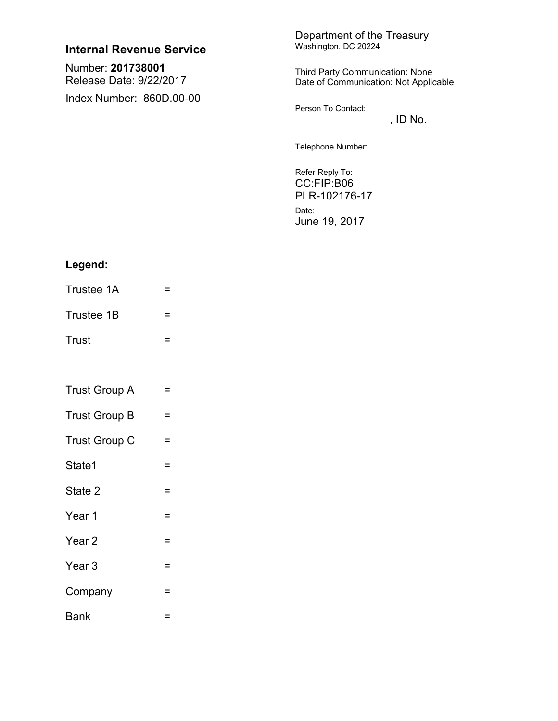| Internal Revenue Service                     | Department of the Treasury<br>Washington, DC 20224                       |
|----------------------------------------------|--------------------------------------------------------------------------|
| Number: 201738001<br>Release Date: 9/22/2017 | Third Party Communication: None<br>Date of Communication: Not Applicable |
| Index Number: 860D.00-00                     | Person To Contact:<br>, ID No.                                           |
|                                              | Telephone Number:                                                        |
|                                              | Refer Reply To:<br>CC:FIP:B06<br>PLR-102176-17                           |

Date: June 19, 2017

# Legend:

- Trustee 1A  $\mathbf{r} = \mathbf{r}$ Trustee  $1B =$
- Trust  $\equiv$

| <b>Trust Group A</b> |  |
|----------------------|--|
|----------------------|--|

- Trust Group B  $=$
- Trust Group  $C =$
- State1  $\mathcal{L}^{\mathcal{L}}(\mathcal{L}^{\mathcal{L}}(\mathcal{L}^{\mathcal{L}}))$  and  $\mathcal{L}^{\mathcal{L}}(\mathcal{L}^{\mathcal{L}}(\mathcal{L}^{\mathcal{L}}))$
- State 2 and the same Year 1  $\equiv$
- Year 2  $\mathbf{r} = \mathbf{r}$ Year 3  $\equiv$
- Company =
- Bank **Contract Contract**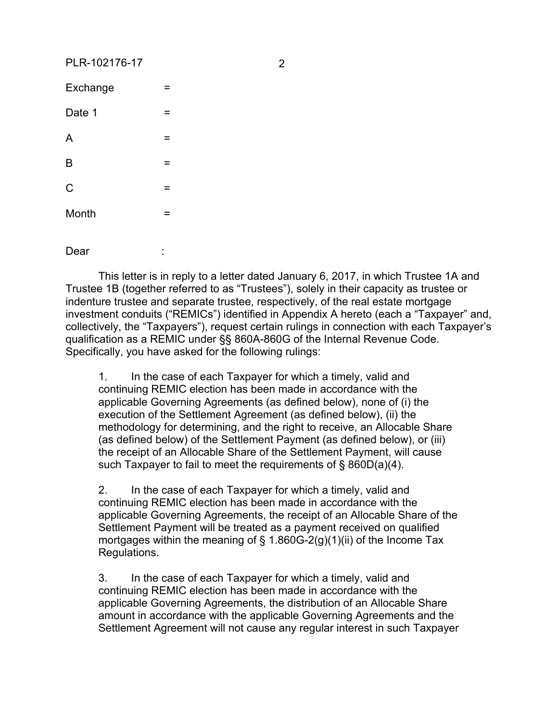# PLR-102176-17 2

| Exchange    | = |
|-------------|---|
| Date 1      | = |
| A           | = |
| B           | = |
| $\mathsf C$ | = |
| Month       | = |
|             |   |

Dear

This letter is in reply to a letter dated January 6, 2017, in which Trustee 1A and Trustee 1B (together referred to as "Trustees"), solely in their capacity as trustee or indenture trustee and separate trustee, respectively, of the real estate mortgage investment conduits ("REMICs") identified in Appendix A hereto (each a "Taxpayer" and, collectively, the "Taxpayers"), request certain rulings in connection with each Taxpayer's qualification as a REMIC under §§ 860A-860G of the Internal Revenue Code. Specifically, you have asked for the following rulings:

1. In the case of each Taxpayer for which a timely, valid and continuing REMIC election has been made in accordance with the applicable Governing Agreements (as defined below), none of (i) the execution of the Settlement Agreement (as defined below), (ii) the methodology for determining, and the right to receive, an Allocable Share (as defined below) of the Settlement Payment (as defined below), or (iii) the receipt of an Allocable Share of the Settlement Payment, will cause such Taxpayer to fail to meet the requirements of § 860D(a)(4).

2. In the case of each Taxpayer for which a timely, valid and continuing REMIC election has been made in accordance with the applicable Governing Agreements, the receipt of an Allocable Share of the Settlement Payment will be treated as a payment received on qualified mortgages within the meaning of  $\S$  1.860G-2(g)(1)(ii) of the Income Tax Regulations.

3. In the case of each Taxpayer for which a timely, valid and continuing REMIC election has been made in accordance with the applicable Governing Agreements, the distribution of an Allocable Share amount in accordance with the applicable Governing Agreements and the Settlement Agreement will not cause any regular interest in such Taxpayer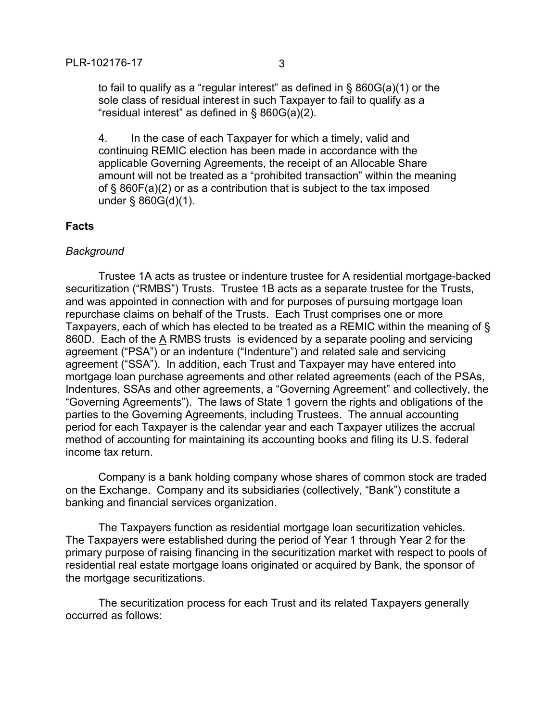to fail to qualify as a "regular interest" as defined in § 860G(a)(1) or the sole class of residual interest in such Taxpayer to fail to qualify as a "residual interest" as defined in § 860G(a)(2).

4. In the case of each Taxpayer for which a timely, valid and continuing REMIC election has been made in accordance with the applicable Governing Agreements, the receipt of an Allocable Share amount will not be treated as a "prohibited transaction" within the meaning of § 860F(a)(2) or as a contribution that is subject to the tax imposed under § 860G(d)(1).

#### **Facts**

#### *Background*

Trustee 1A acts as trustee or indenture trustee for A residential mortgage-backed securitization ("RMBS") Trusts. Trustee 1B acts as a separate trustee for the Trusts, and was appointed in connection with and for purposes of pursuing mortgage loan repurchase claims on behalf of the Trusts. Each Trust comprises one or more Taxpayers, each of which has elected to be treated as a REMIC within the meaning of § 860D. Each of the A RMBS trusts is evidenced by a separate pooling and servicing agreement ("PSA") or an indenture ("Indenture") and related sale and servicing agreement ("SSA"). In addition, each Trust and Taxpayer may have entered into mortgage loan purchase agreements and other related agreements (each of the PSAs, Indentures, SSAs and other agreements, a "Governing Agreement" and collectively, the "Governing Agreements"). The laws of State 1 govern the rights and obligations of the parties to the Governing Agreements, including Trustees. The annual accounting period for each Taxpayer is the calendar year and each Taxpayer utilizes the accrual method of accounting for maintaining its accounting books and filing its U.S. federal income tax return.

Company is a bank holding company whose shares of common stock are traded on the Exchange. Company and its subsidiaries (collectively, "Bank") constitute a banking and financial services organization.

The Taxpayers function as residential mortgage loan securitization vehicles. The Taxpayers were established during the period of Year 1 through Year 2 for the primary purpose of raising financing in the securitization market with respect to pools of residential real estate mortgage loans originated or acquired by Bank, the sponsor of the mortgage securitizations.

The securitization process for each Trust and its related Taxpayers generally occurred as follows: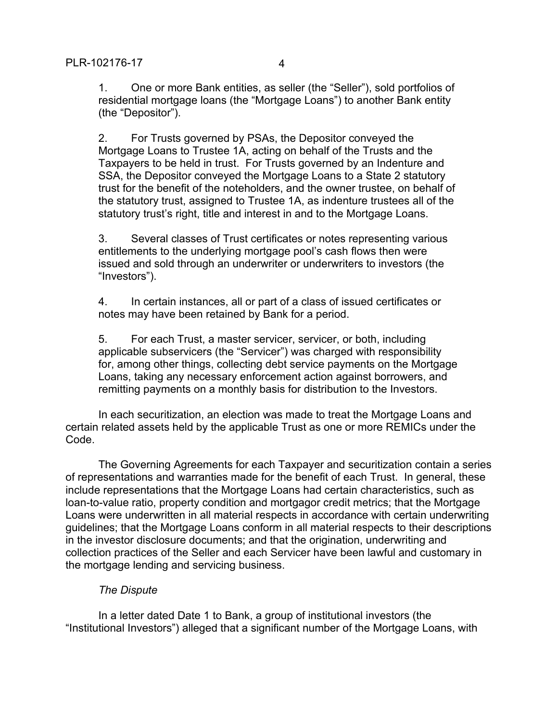1. One or more Bank entities, as seller (the "Seller"), sold portfolios of residential mortgage loans (the "Mortgage Loans") to another Bank entity (the "Depositor").

2. For Trusts governed by PSAs, the Depositor conveyed the Mortgage Loans to Trustee 1A, acting on behalf of the Trusts and the Taxpayers to be held in trust. For Trusts governed by an Indenture and SSA, the Depositor conveyed the Mortgage Loans to a State 2 statutory trust for the benefit of the noteholders, and the owner trustee, on behalf of the statutory trust, assigned to Trustee 1A, as indenture trustees all of the statutory trust's right, title and interest in and to the Mortgage Loans.

3. Several classes of Trust certificates or notes representing various entitlements to the underlying mortgage pool's cash flows then were issued and sold through an underwriter or underwriters to investors (the "Investors").

4. In certain instances, all or part of a class of issued certificates or notes may have been retained by Bank for a period.

5. For each Trust, a master servicer, servicer, or both, including applicable subservicers (the "Servicer") was charged with responsibility for, among other things, collecting debt service payments on the Mortgage Loans, taking any necessary enforcement action against borrowers, and remitting payments on a monthly basis for distribution to the Investors.

In each securitization, an election was made to treat the Mortgage Loans and certain related assets held by the applicable Trust as one or more REMICs under the Code.

The Governing Agreements for each Taxpayer and securitization contain a series of representations and warranties made for the benefit of each Trust. In general, these include representations that the Mortgage Loans had certain characteristics, such as loan-to-value ratio, property condition and mortgagor credit metrics; that the Mortgage Loans were underwritten in all material respects in accordance with certain underwriting guidelines; that the Mortgage Loans conform in all material respects to their descriptions in the investor disclosure documents; and that the origination, underwriting and collection practices of the Seller and each Servicer have been lawful and customary in the mortgage lending and servicing business.

# *The Dispute*

In a letter dated Date 1 to Bank, a group of institutional investors (the "Institutional Investors") alleged that a significant number of the Mortgage Loans, with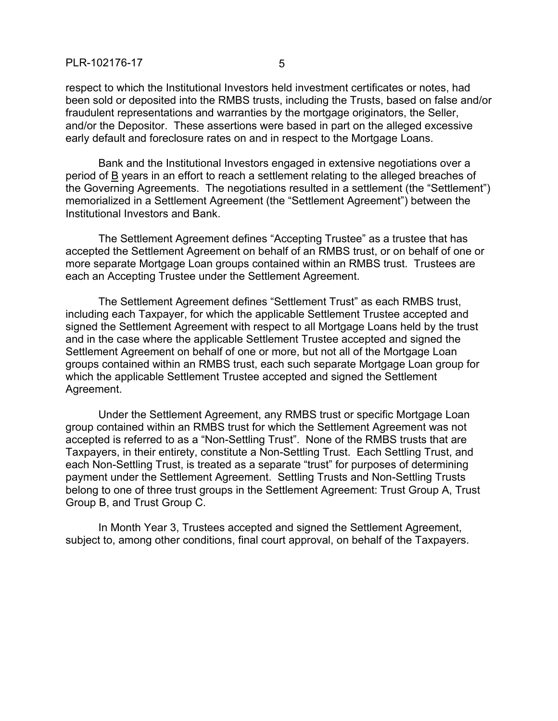respect to which the Institutional Investors held investment certificates or notes, had been sold or deposited into the RMBS trusts, including the Trusts, based on false and/or fraudulent representations and warranties by the mortgage originators, the Seller, and/or the Depositor. These assertions were based in part on the alleged excessive early default and foreclosure rates on and in respect to the Mortgage Loans.

Bank and the Institutional Investors engaged in extensive negotiations over a period of B years in an effort to reach a settlement relating to the alleged breaches of the Governing Agreements. The negotiations resulted in a settlement (the "Settlement") memorialized in a Settlement Agreement (the "Settlement Agreement") between the Institutional Investors and Bank.

The Settlement Agreement defines "Accepting Trustee" as a trustee that has accepted the Settlement Agreement on behalf of an RMBS trust, or on behalf of one or more separate Mortgage Loan groups contained within an RMBS trust. Trustees are each an Accepting Trustee under the Settlement Agreement.

The Settlement Agreement defines "Settlement Trust" as each RMBS trust, including each Taxpayer, for which the applicable Settlement Trustee accepted and signed the Settlement Agreement with respect to all Mortgage Loans held by the trust and in the case where the applicable Settlement Trustee accepted and signed the Settlement Agreement on behalf of one or more, but not all of the Mortgage Loan groups contained within an RMBS trust, each such separate Mortgage Loan group for which the applicable Settlement Trustee accepted and signed the Settlement Agreement.

Under the Settlement Agreement, any RMBS trust or specific Mortgage Loan group contained within an RMBS trust for which the Settlement Agreement was not accepted is referred to as a "Non-Settling Trust". None of the RMBS trusts that are Taxpayers, in their entirety, constitute a Non-Settling Trust. Each Settling Trust, and each Non-Settling Trust, is treated as a separate "trust" for purposes of determining payment under the Settlement Agreement. Settling Trusts and Non-Settling Trusts belong to one of three trust groups in the Settlement Agreement: Trust Group A, Trust Group B, and Trust Group C.

In Month Year 3, Trustees accepted and signed the Settlement Agreement, subject to, among other conditions, final court approval, on behalf of the Taxpayers.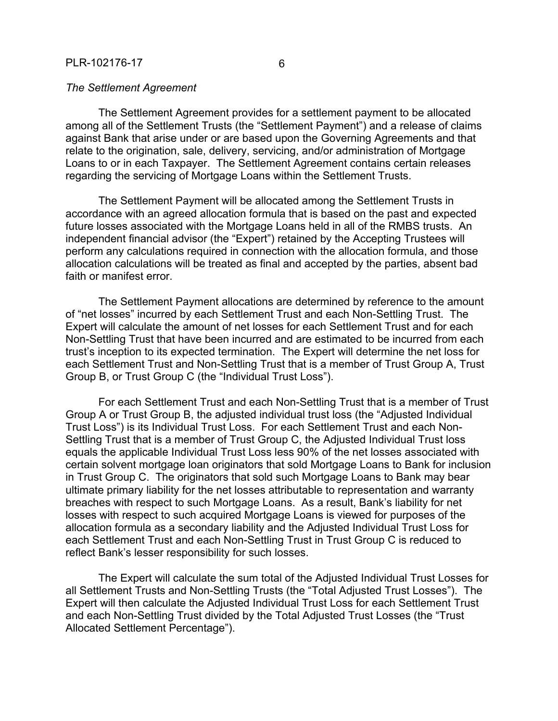The Settlement Agreement provides for a settlement payment to be allocated among all of the Settlement Trusts (the "Settlement Payment") and a release of claims against Bank that arise under or are based upon the Governing Agreements and that relate to the origination, sale, delivery, servicing, and/or administration of Mortgage Loans to or in each Taxpayer. The Settlement Agreement contains certain releases regarding the servicing of Mortgage Loans within the Settlement Trusts.

The Settlement Payment will be allocated among the Settlement Trusts in accordance with an agreed allocation formula that is based on the past and expected future losses associated with the Mortgage Loans held in all of the RMBS trusts. An independent financial advisor (the "Expert") retained by the Accepting Trustees will perform any calculations required in connection with the allocation formula, and those allocation calculations will be treated as final and accepted by the parties, absent bad faith or manifest error.

The Settlement Payment allocations are determined by reference to the amount of "net losses" incurred by each Settlement Trust and each Non-Settling Trust. The Expert will calculate the amount of net losses for each Settlement Trust and for each Non-Settling Trust that have been incurred and are estimated to be incurred from each trust's inception to its expected termination. The Expert will determine the net loss for each Settlement Trust and Non-Settling Trust that is a member of Trust Group A, Trust Group B, or Trust Group C (the "Individual Trust Loss").

For each Settlement Trust and each Non-Settling Trust that is a member of Trust Group A or Trust Group B, the adjusted individual trust loss (the "Adjusted Individual Trust Loss") is its Individual Trust Loss. For each Settlement Trust and each Non-Settling Trust that is a member of Trust Group C, the Adjusted Individual Trust loss equals the applicable Individual Trust Loss less 90% of the net losses associated with certain solvent mortgage loan originators that sold Mortgage Loans to Bank for inclusion in Trust Group C. The originators that sold such Mortgage Loans to Bank may bear ultimate primary liability for the net losses attributable to representation and warranty breaches with respect to such Mortgage Loans. As a result, Bank's liability for net losses with respect to such acquired Mortgage Loans is viewed for purposes of the allocation formula as a secondary liability and the Adjusted Individual Trust Loss for each Settlement Trust and each Non-Settling Trust in Trust Group C is reduced to reflect Bank's lesser responsibility for such losses.

The Expert will calculate the sum total of the Adjusted Individual Trust Losses for all Settlement Trusts and Non-Settling Trusts (the "Total Adjusted Trust Losses"). The Expert will then calculate the Adjusted Individual Trust Loss for each Settlement Trust and each Non-Settling Trust divided by the Total Adjusted Trust Losses (the "Trust Allocated Settlement Percentage").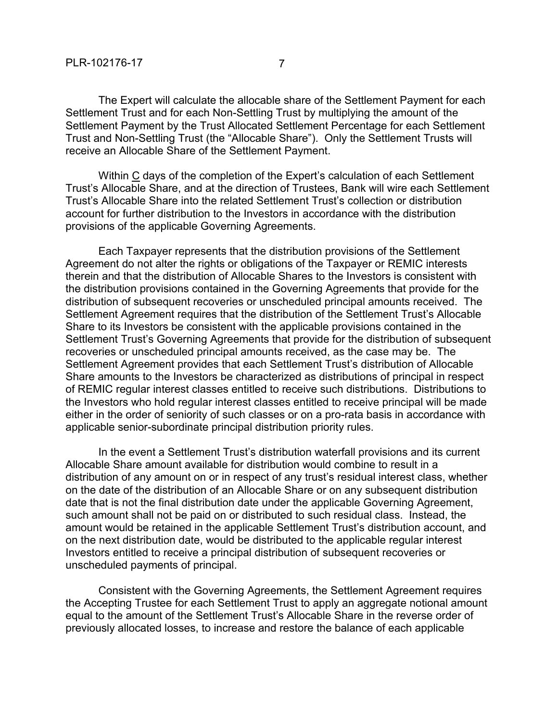The Expert will calculate the allocable share of the Settlement Payment for each Settlement Trust and for each Non-Settling Trust by multiplying the amount of the Settlement Payment by the Trust Allocated Settlement Percentage for each Settlement Trust and Non-Settling Trust (the "Allocable Share"). Only the Settlement Trusts will receive an Allocable Share of the Settlement Payment.

Within C days of the completion of the Expert's calculation of each Settlement Trust's Allocable Share, and at the direction of Trustees, Bank will wire each Settlement Trust's Allocable Share into the related Settlement Trust's collection or distribution account for further distribution to the Investors in accordance with the distribution provisions of the applicable Governing Agreements.

Each Taxpayer represents that the distribution provisions of the Settlement Agreement do not alter the rights or obligations of the Taxpayer or REMIC interests therein and that the distribution of Allocable Shares to the Investors is consistent with the distribution provisions contained in the Governing Agreements that provide for the distribution of subsequent recoveries or unscheduled principal amounts received. The Settlement Agreement requires that the distribution of the Settlement Trust's Allocable Share to its Investors be consistent with the applicable provisions contained in the Settlement Trust's Governing Agreements that provide for the distribution of subsequent recoveries or unscheduled principal amounts received, as the case may be. The Settlement Agreement provides that each Settlement Trust's distribution of Allocable Share amounts to the Investors be characterized as distributions of principal in respect of REMIC regular interest classes entitled to receive such distributions. Distributions to the Investors who hold regular interest classes entitled to receive principal will be made either in the order of seniority of such classes or on a pro-rata basis in accordance with applicable senior-subordinate principal distribution priority rules.

In the event a Settlement Trust's distribution waterfall provisions and its current Allocable Share amount available for distribution would combine to result in a distribution of any amount on or in respect of any trust's residual interest class, whether on the date of the distribution of an Allocable Share or on any subsequent distribution date that is not the final distribution date under the applicable Governing Agreement, such amount shall not be paid on or distributed to such residual class. Instead, the amount would be retained in the applicable Settlement Trust's distribution account, and on the next distribution date, would be distributed to the applicable regular interest Investors entitled to receive a principal distribution of subsequent recoveries or unscheduled payments of principal.

Consistent with the Governing Agreements, the Settlement Agreement requires the Accepting Trustee for each Settlement Trust to apply an aggregate notional amount equal to the amount of the Settlement Trust's Allocable Share in the reverse order of previously allocated losses, to increase and restore the balance of each applicable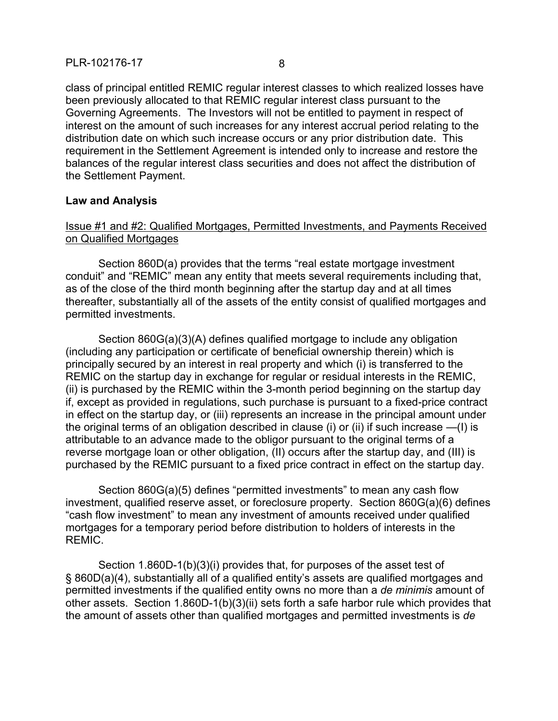class of principal entitled REMIC regular interest classes to which realized losses have been previously allocated to that REMIC regular interest class pursuant to the Governing Agreements. The Investors will not be entitled to payment in respect of interest on the amount of such increases for any interest accrual period relating to the distribution date on which such increase occurs or any prior distribution date. This requirement in the Settlement Agreement is intended only to increase and restore the balances of the regular interest class securities and does not affect the distribution of the Settlement Payment.

## **Law and Analysis**

# Issue #1 and #2: Qualified Mortgages, Permitted Investments, and Payments Received on Qualified Mortgages

Section 860D(a) provides that the terms "real estate mortgage investment conduit" and "REMIC" mean any entity that meets several requirements including that, as of the close of the third month beginning after the startup day and at all times thereafter, substantially all of the assets of the entity consist of qualified mortgages and permitted investments.

Section 860G(a)(3)(A) defines qualified mortgage to include any obligation (including any participation or certificate of beneficial ownership therein) which is principally secured by an interest in real property and which (i) is transferred to the REMIC on the startup day in exchange for regular or residual interests in the REMIC, (ii) is purchased by the REMIC within the 3-month period beginning on the startup day if, except as provided in regulations, such purchase is pursuant to a fixed-price contract in effect on the startup day, or (iii) represents an increase in the principal amount under the original terms of an obligation described in clause (i) or (ii) if such increase —(I) is attributable to an advance made to the obligor pursuant to the original terms of a reverse mortgage loan or other obligation, (II) occurs after the startup day, and (III) is purchased by the REMIC pursuant to a fixed price contract in effect on the startup day.

Section 860G(a)(5) defines "permitted investments" to mean any cash flow investment, qualified reserve asset, or foreclosure property. Section 860G(a)(6) defines "cash flow investment" to mean any investment of amounts received under qualified mortgages for a temporary period before distribution to holders of interests in the REMIC.

Section 1.860D-1(b)(3)(i) provides that, for purposes of the asset test of § 860D(a)(4), substantially all of a qualified entity's assets are qualified mortgages and permitted investments if the qualified entity owns no more than a *de minimis* amount of other assets. Section 1.860D-1(b)(3)(ii) sets forth a safe harbor rule which provides that the amount of assets other than qualified mortgages and permitted investments is *de*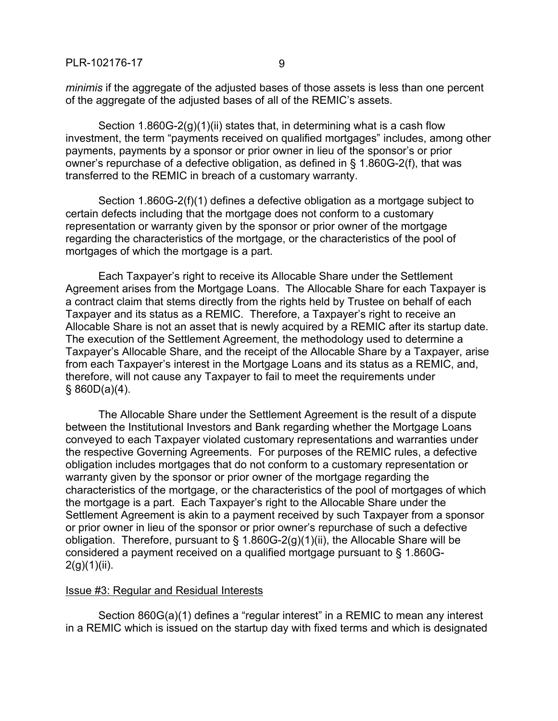*minimis* if the aggregate of the adjusted bases of those assets is less than one percent of the aggregate of the adjusted bases of all of the REMIC's assets.

Section 1.860G-2(g)(1)(ii) states that, in determining what is a cash flow investment, the term "payments received on qualified mortgages" includes, among other payments, payments by a sponsor or prior owner in lieu of the sponsor's or prior owner's repurchase of a defective obligation, as defined in § 1.860G-2(f), that was transferred to the REMIC in breach of a customary warranty.

Section 1.860G-2(f)(1) defines a defective obligation as a mortgage subject to certain defects including that the mortgage does not conform to a customary representation or warranty given by the sponsor or prior owner of the mortgage regarding the characteristics of the mortgage, or the characteristics of the pool of mortgages of which the mortgage is a part.

Each Taxpayer's right to receive its Allocable Share under the Settlement Agreement arises from the Mortgage Loans. The Allocable Share for each Taxpayer is a contract claim that stems directly from the rights held by Trustee on behalf of each Taxpayer and its status as a REMIC. Therefore, a Taxpayer's right to receive an Allocable Share is not an asset that is newly acquired by a REMIC after its startup date. The execution of the Settlement Agreement, the methodology used to determine a Taxpayer's Allocable Share, and the receipt of the Allocable Share by a Taxpayer, arise from each Taxpayer's interest in the Mortgage Loans and its status as a REMIC, and, therefore, will not cause any Taxpayer to fail to meet the requirements under  $§ 860D(a)(4).$ 

The Allocable Share under the Settlement Agreement is the result of a dispute between the Institutional Investors and Bank regarding whether the Mortgage Loans conveyed to each Taxpayer violated customary representations and warranties under the respective Governing Agreements. For purposes of the REMIC rules, a defective obligation includes mortgages that do not conform to a customary representation or warranty given by the sponsor or prior owner of the mortgage regarding the characteristics of the mortgage, or the characteristics of the pool of mortgages of which the mortgage is a part. Each Taxpayer's right to the Allocable Share under the Settlement Agreement is akin to a payment received by such Taxpayer from a sponsor or prior owner in lieu of the sponsor or prior owner's repurchase of such a defective obligation. Therefore, pursuant to § 1.860G-2(g)(1)(ii), the Allocable Share will be considered a payment received on a qualified mortgage pursuant to § 1.860G- $2(g)(1)(ii)$ .

#### Issue #3: Regular and Residual Interests

Section 860G(a)(1) defines a "regular interest" in a REMIC to mean any interest in a REMIC which is issued on the startup day with fixed terms and which is designated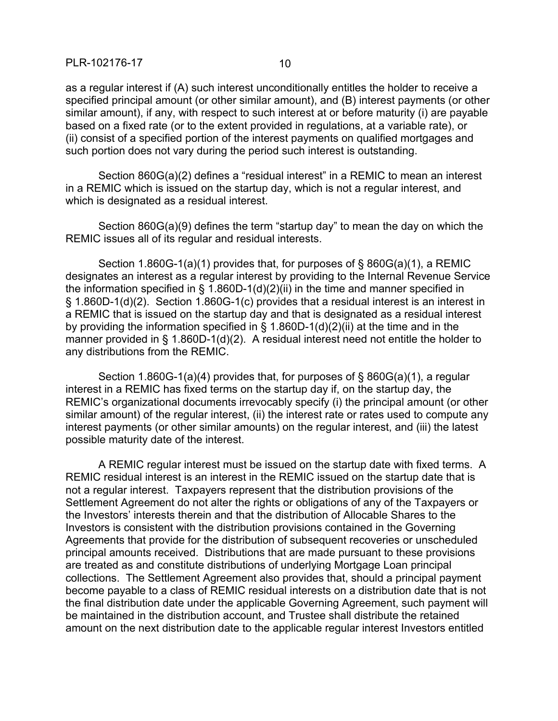as a regular interest if (A) such interest unconditionally entitles the holder to receive a specified principal amount (or other similar amount), and (B) interest payments (or other similar amount), if any, with respect to such interest at or before maturity (i) are payable based on a fixed rate (or to the extent provided in regulations, at a variable rate), or (ii) consist of a specified portion of the interest payments on qualified mortgages and such portion does not vary during the period such interest is outstanding.

Section 860G(a)(2) defines a "residual interest" in a REMIC to mean an interest in a REMIC which is issued on the startup day, which is not a regular interest, and which is designated as a residual interest.

Section 860G(a)(9) defines the term "startup day" to mean the day on which the REMIC issues all of its regular and residual interests.

Section 1.860G-1(a)(1) provides that, for purposes of § 860G(a)(1), a REMIC designates an interest as a regular interest by providing to the Internal Revenue Service the information specified in  $\S$  1.860D-1(d)(2)(ii) in the time and manner specified in § 1.860D-1(d)(2). Section 1.860G-1(c) provides that a residual interest is an interest in a REMIC that is issued on the startup day and that is designated as a residual interest by providing the information specified in  $\S$  1.860D-1(d)(2)(ii) at the time and in the manner provided in § 1.860D-1(d)(2). A residual interest need not entitle the holder to any distributions from the REMIC.

Section 1.860G-1(a)(4) provides that, for purposes of § 860G(a)(1), a regular interest in a REMIC has fixed terms on the startup day if, on the startup day, the REMIC's organizational documents irrevocably specify (i) the principal amount (or other similar amount) of the regular interest, (ii) the interest rate or rates used to compute any interest payments (or other similar amounts) on the regular interest, and (iii) the latest possible maturity date of the interest.

A REMIC regular interest must be issued on the startup date with fixed terms. A REMIC residual interest is an interest in the REMIC issued on the startup date that is not a regular interest. Taxpayers represent that the distribution provisions of the Settlement Agreement do not alter the rights or obligations of any of the Taxpayers or the Investors' interests therein and that the distribution of Allocable Shares to the Investors is consistent with the distribution provisions contained in the Governing Agreements that provide for the distribution of subsequent recoveries or unscheduled principal amounts received. Distributions that are made pursuant to these provisions are treated as and constitute distributions of underlying Mortgage Loan principal collections. The Settlement Agreement also provides that, should a principal payment become payable to a class of REMIC residual interests on a distribution date that is not the final distribution date under the applicable Governing Agreement, such payment will be maintained in the distribution account, and Trustee shall distribute the retained amount on the next distribution date to the applicable regular interest Investors entitled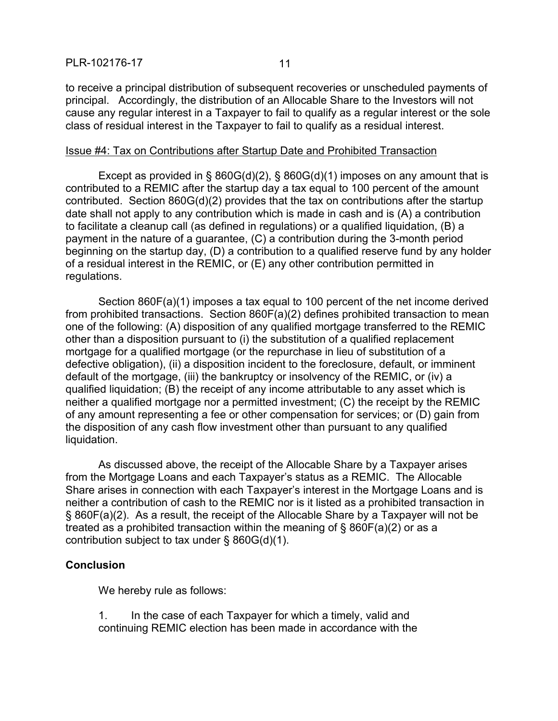to receive a principal distribution of subsequent recoveries or unscheduled payments of principal. Accordingly, the distribution of an Allocable Share to the Investors will not cause any regular interest in a Taxpayer to fail to qualify as a regular interest or the sole class of residual interest in the Taxpayer to fail to qualify as a residual interest.

#### Issue #4: Tax on Contributions after Startup Date and Prohibited Transaction

Except as provided in § 860G(d)(2), § 860G(d)(1) imposes on any amount that is contributed to a REMIC after the startup day a tax equal to 100 percent of the amount contributed. Section 860G(d)(2) provides that the tax on contributions after the startup date shall not apply to any contribution which is made in cash and is (A) a contribution to facilitate a cleanup call (as defined in regulations) or a qualified liquidation, (B) a payment in the nature of a guarantee, (C) a contribution during the 3-month period beginning on the startup day, (D) a contribution to a qualified reserve fund by any holder of a residual interest in the REMIC, or (E) any other contribution permitted in regulations.

Section 860F(a)(1) imposes a tax equal to 100 percent of the net income derived from prohibited transactions. Section 860F(a)(2) defines prohibited transaction to mean one of the following: (A) disposition of any qualified mortgage transferred to the REMIC other than a disposition pursuant to (i) the substitution of a qualified replacement mortgage for a qualified mortgage (or the repurchase in lieu of substitution of a defective obligation), (ii) a disposition incident to the foreclosure, default, or imminent default of the mortgage, (iii) the bankruptcy or insolvency of the REMIC, or (iv) a qualified liquidation; (B) the receipt of any income attributable to any asset which is neither a qualified mortgage nor a permitted investment; (C) the receipt by the REMIC of any amount representing a fee or other compensation for services; or (D) gain from the disposition of any cash flow investment other than pursuant to any qualified liquidation.

As discussed above, the receipt of the Allocable Share by a Taxpayer arises from the Mortgage Loans and each Taxpayer's status as a REMIC. The Allocable Share arises in connection with each Taxpayer's interest in the Mortgage Loans and is neither a contribution of cash to the REMIC nor is it listed as a prohibited transaction in § 860F(a)(2). As a result, the receipt of the Allocable Share by a Taxpayer will not be treated as a prohibited transaction within the meaning of § 860F(a)(2) or as a contribution subject to tax under § 860G(d)(1).

## **Conclusion**

We hereby rule as follows:

1. In the case of each Taxpayer for which a timely, valid and continuing REMIC election has been made in accordance with the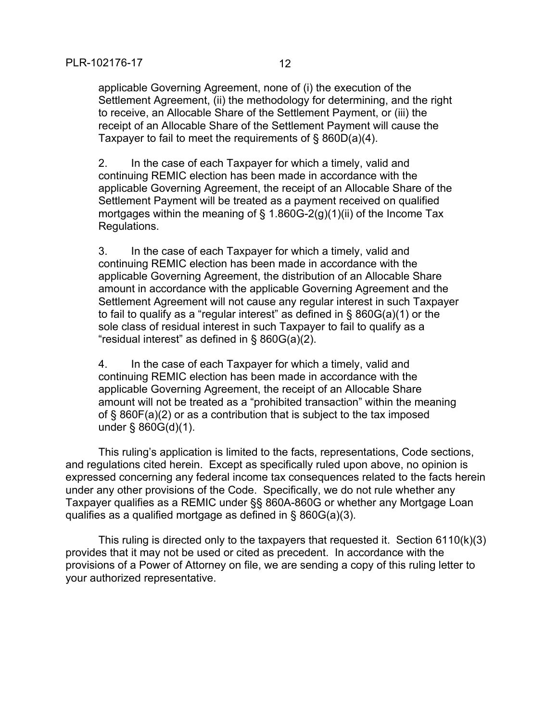applicable Governing Agreement, none of (i) the execution of the Settlement Agreement, (ii) the methodology for determining, and the right to receive, an Allocable Share of the Settlement Payment, or (iii) the receipt of an Allocable Share of the Settlement Payment will cause the Taxpayer to fail to meet the requirements of § 860D(a)(4).

2. In the case of each Taxpayer for which a timely, valid and continuing REMIC election has been made in accordance with the applicable Governing Agreement, the receipt of an Allocable Share of the Settlement Payment will be treated as a payment received on qualified mortgages within the meaning of § 1.860G-2(g)(1)(ii) of the Income Tax Regulations.

3. In the case of each Taxpayer for which a timely, valid and continuing REMIC election has been made in accordance with the applicable Governing Agreement, the distribution of an Allocable Share amount in accordance with the applicable Governing Agreement and the Settlement Agreement will not cause any regular interest in such Taxpayer to fail to qualify as a "regular interest" as defined in § 860G(a)(1) or the sole class of residual interest in such Taxpayer to fail to qualify as a "residual interest" as defined in § 860G(a)(2).

4. In the case of each Taxpayer for which a timely, valid and continuing REMIC election has been made in accordance with the applicable Governing Agreement, the receipt of an Allocable Share amount will not be treated as a "prohibited transaction" within the meaning of § 860F(a)(2) or as a contribution that is subject to the tax imposed under § 860G(d)(1).

This ruling's application is limited to the facts, representations, Code sections, and regulations cited herein. Except as specifically ruled upon above, no opinion is expressed concerning any federal income tax consequences related to the facts herein under any other provisions of the Code. Specifically, we do not rule whether any Taxpayer qualifies as a REMIC under §§ 860A-860G or whether any Mortgage Loan qualifies as a qualified mortgage as defined in § 860G(a)(3).

This ruling is directed only to the taxpayers that requested it. Section 6110(k)(3) provides that it may not be used or cited as precedent. In accordance with the provisions of a Power of Attorney on file, we are sending a copy of this ruling letter to your authorized representative.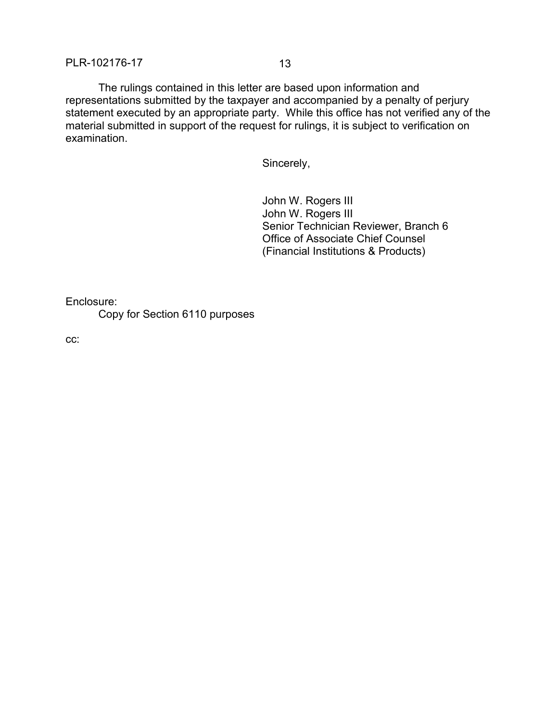The rulings contained in this letter are based upon information and representations submitted by the taxpayer and accompanied by a penalty of perjury statement executed by an appropriate party. While this office has not verified any of the material submitted in support of the request for rulings, it is subject to verification on examination.

Sincerely,

John W. Rogers III John W. Rogers III Senior Technician Reviewer, Branch 6 Office of Associate Chief Counsel (Financial Institutions & Products)

Enclosure:

Copy for Section 6110 purposes

 $cc:$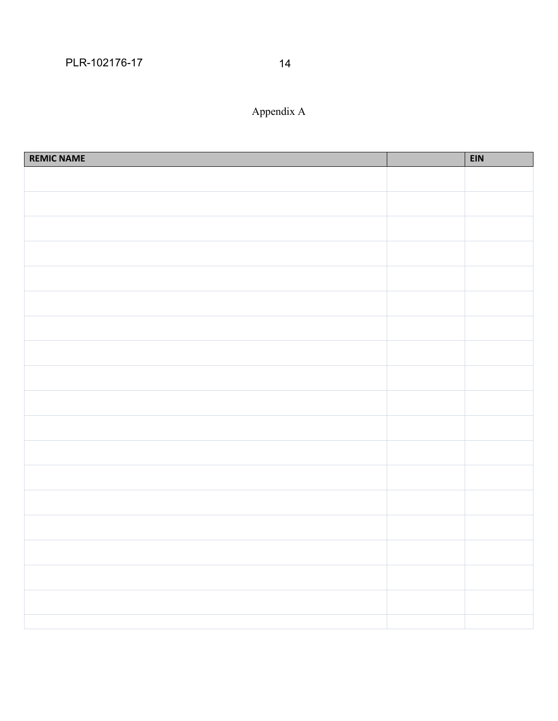# Appendix A

| <b>REMIC NAME</b> | <b>EIN</b> |
|-------------------|------------|
|                   |            |
|                   |            |
|                   |            |
|                   |            |
|                   |            |
|                   |            |
|                   |            |
|                   |            |
|                   |            |
|                   |            |
|                   |            |
|                   |            |
|                   |            |
|                   |            |
|                   |            |
|                   |            |
|                   |            |
|                   |            |
|                   |            |
|                   |            |
|                   |            |
|                   |            |